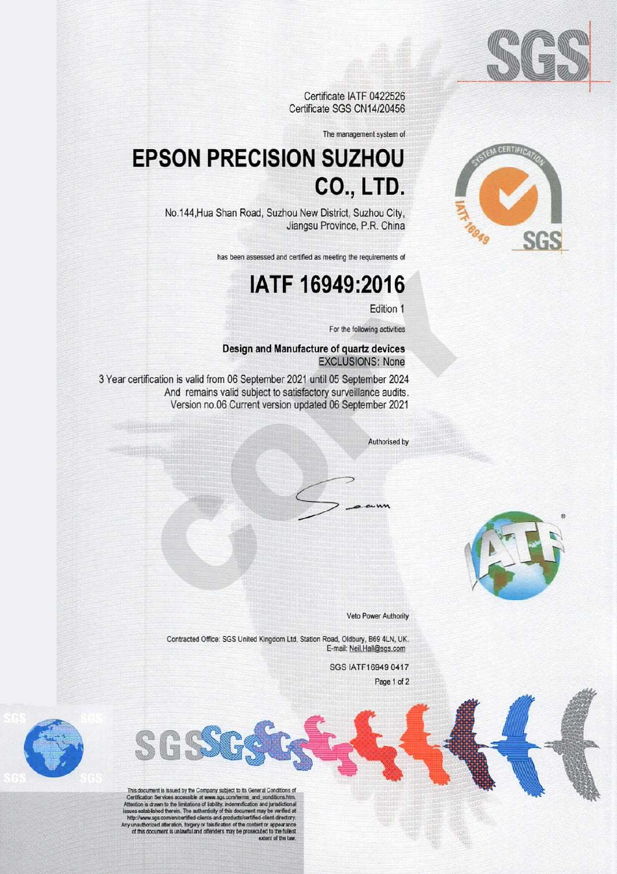

Certificate IATF 0422526 Certificate SGS CN14/20456

The management system of

# **EPSON PRECISION SUZHOU CO., LTD.**

No.144, Hua Shan Road, Suzhou New District, Suzhou City, Jiangsu Province, P.R. China

has been assessed and certified as meeting the requirements of

# IATF 16949:2016

Edition 1

For the following activities

## Design and Manufacture of quartz devices **EXCLUSIONS: None**

3 Year certification is valid from 06 September 2021 until 05 September 2024 And remains valid subject to satisfactory surveillance audits. Version no.06 Current version updated 06 September 2021

Authorised by



Veto Power Authority

Contracted Office: SGS United Kingdom Ltd, Station Road, Oldbury, B69 4LN, UK. E-mail: Neil.Hall@sgs.com

SGS IATF16949 0417

Page 1 of 2

SGS





This document is issued by the Company subject to its General Conditions of<br>Certification Services accessible at www.sgs.com/terms\_and\_conditions.htm.<br>Attention is drawn to the limitations of lability, indemnification and http://www.sgs.com/en/certified-clients-and-products/certified-client-directory.<br>hy unauthorized alteration, forgery or falsification of the content or appearance<br>of this document is unlawful and offenders may be prosecute extent of the low